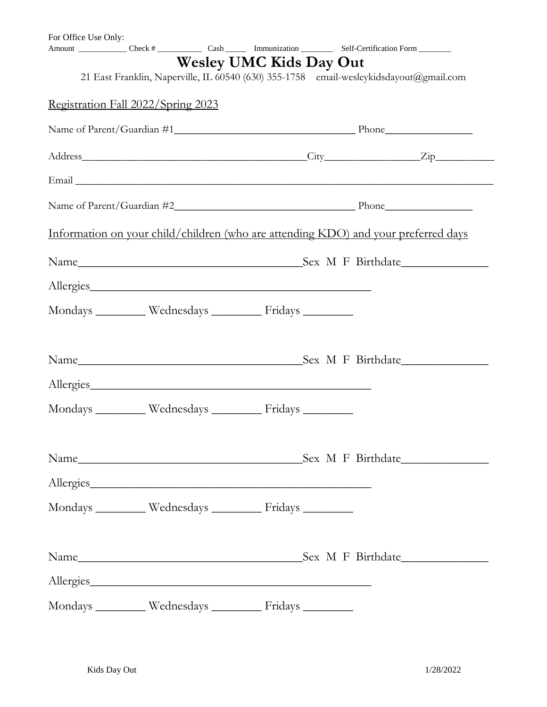| For Office Use Only: | Amount ____________Check # ____________Cash _______ Immunization ________________ Self-Certification Form _________ |                                |                                                                                                                                                                                                                               |
|----------------------|---------------------------------------------------------------------------------------------------------------------|--------------------------------|-------------------------------------------------------------------------------------------------------------------------------------------------------------------------------------------------------------------------------|
|                      |                                                                                                                     | <b>Wesley UMC Kids Day Out</b> |                                                                                                                                                                                                                               |
|                      |                                                                                                                     |                                | 21 East Franklin, Naperville, IL 60540 (630) 355-1758 email-wesleykidsdayout@gmail.com                                                                                                                                        |
|                      | Registration Fall 2022/Spring 2023                                                                                  |                                |                                                                                                                                                                                                                               |
|                      |                                                                                                                     |                                |                                                                                                                                                                                                                               |
|                      |                                                                                                                     |                                |                                                                                                                                                                                                                               |
|                      |                                                                                                                     |                                | Email Land and the second contract of the second contract of the second contract of the second contract of the second contract of the second contract of the second contract of the second contract of the second contract of |
|                      |                                                                                                                     |                                |                                                                                                                                                                                                                               |
|                      |                                                                                                                     |                                | Information on your child/children (who are attending KDO) and your preferred days                                                                                                                                            |
|                      |                                                                                                                     |                                |                                                                                                                                                                                                                               |
|                      | Allergies                                                                                                           |                                |                                                                                                                                                                                                                               |
|                      | Mondays __________ Wednesdays _________ Fridays ________                                                            |                                |                                                                                                                                                                                                                               |
|                      |                                                                                                                     |                                |                                                                                                                                                                                                                               |
|                      |                                                                                                                     |                                |                                                                                                                                                                                                                               |
|                      | Allergies                                                                                                           |                                |                                                                                                                                                                                                                               |
|                      | Mondays _________ Wednesdays ________ Fridays ________                                                              |                                |                                                                                                                                                                                                                               |
|                      |                                                                                                                     |                                |                                                                                                                                                                                                                               |
|                      |                                                                                                                     |                                |                                                                                                                                                                                                                               |
|                      | Allergies                                                                                                           |                                |                                                                                                                                                                                                                               |
|                      | Mondays _________ Wednesdays ________ Fridays ________                                                              |                                |                                                                                                                                                                                                                               |
|                      |                                                                                                                     |                                |                                                                                                                                                                                                                               |
|                      |                                                                                                                     |                                |                                                                                                                                                                                                                               |
|                      | Allergies                                                                                                           |                                |                                                                                                                                                                                                                               |
|                      | Mondays __________ Wednesdays _________ Fridays ________                                                            |                                |                                                                                                                                                                                                                               |